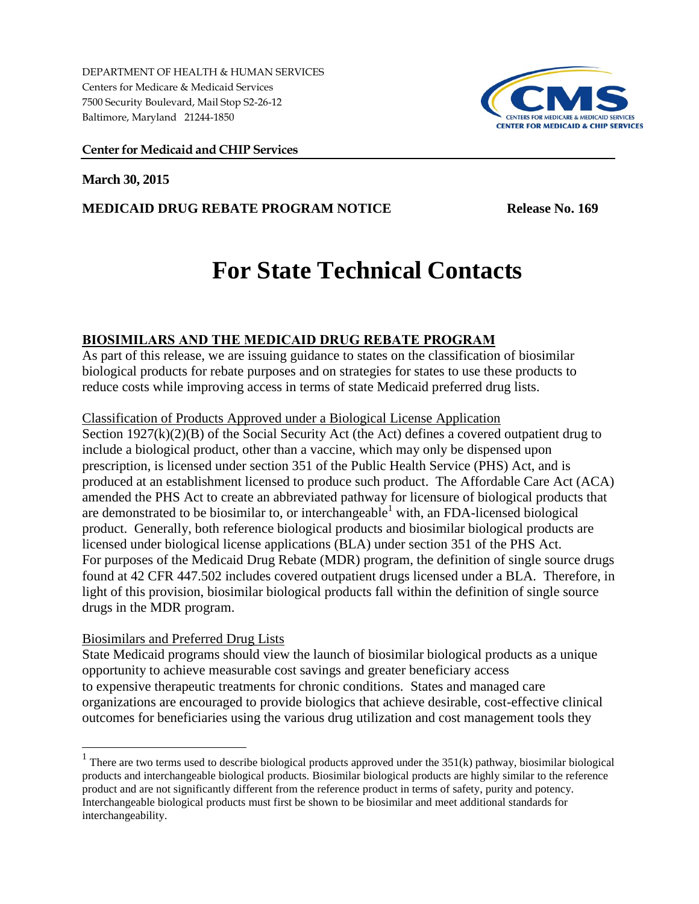DEPARTMENT OF HEALTH & HUMAN SERVICES Centers for Medicare & Medicaid Services 7500 Security Boulevard, Mail Stop S2-26-12 Baltimore, Maryland 21244-1850



## **Center for Medicaid and CHIP Services**

**March 30, 2015**

## **MEDICAID DRUG REBATE PROGRAM NOTICE Release No. 169**

# **For State Technical Contacts**

# **BIOSIMILARS AND THE MEDICAID DRUG REBATE PROGRAM**

As part of this release, we are issuing guidance to states on the classification of biosimilar biological products for rebate purposes and on strategies for states to use these products to reduce costs while improving access in terms of state Medicaid preferred drug lists.

## Classification of Products Approved under a Biological License Application

Section 1927(k)(2)(B) of the Social Security Act (the Act) defines a covered outpatient drug to include a biological product, other than a vaccine, which may only be dispensed upon prescription, is licensed under section 351 of the Public Health Service (PHS) Act, and is produced at an establishment licensed to produce such product. The Affordable Care Act (ACA) amended the PHS Act to create an abbreviated pathway for licensure of biological products that are demonstrated to be biosimilar to, or interchangeable<sup>1</sup> with, an FDA-licensed biological product. Generally, both reference biological products and biosimilar biological products are licensed under biological license applications (BLA) under section 351 of the PHS Act. For purposes of the Medicaid Drug Rebate (MDR) program, the definition of single source drugs found at 42 CFR 447.502 includes covered outpatient drugs licensed under a BLA. Therefore, in light of this provision, biosimilar biological products fall within the definition of single source drugs in the MDR program.

## Biosimilars and Preferred Drug Lists

State Medicaid programs should view the launch of biosimilar biological products as a unique opportunity to achieve measurable cost savings and greater beneficiary access to expensive therapeutic treatments for chronic conditions. States and managed care organizations are encouraged to provide biologics that achieve desirable, cost-effective clinical outcomes for beneficiaries using the various drug utilization and cost management tools they

<sup>&</sup>lt;sup>1</sup> There are two terms used to describe biological products approved under the 351(k) pathway, biosimilar biological products and interchangeable biological products. Biosimilar biological products are highly similar to the reference product and are not significantly different from the reference product in terms of safety, purity and potency. Interchangeable biological products must first be shown to be biosimilar and meet additional standards for interchangeability.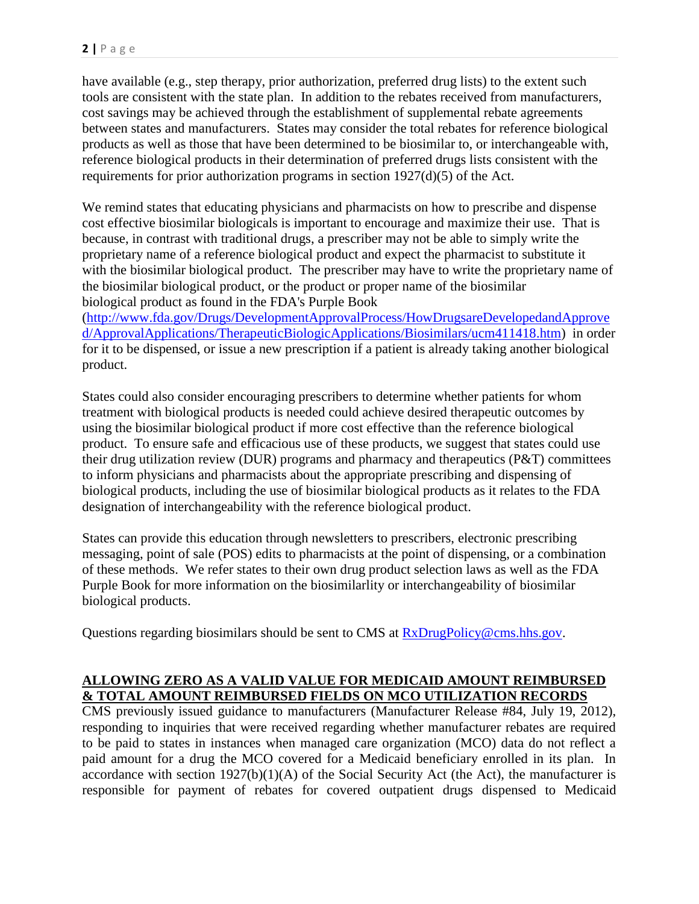have available (e.g., step therapy, prior authorization, preferred drug lists) to the extent such tools are consistent with the state plan. In addition to the rebates received from manufacturers, cost savings may be achieved through the establishment of supplemental rebate agreements between states and manufacturers. States may consider the total rebates for reference biological products as well as those that have been determined to be biosimilar to, or interchangeable with, reference biological products in their determination of preferred drugs lists consistent with the requirements for prior authorization programs in section 1927(d)(5) of the Act.

We remind states that educating physicians and pharmacists on how to prescribe and dispense cost effective biosimilar biologicals is important to encourage and maximize their use. That is because, in contrast with traditional drugs, a prescriber may not be able to simply write the proprietary name of a reference biological product and expect the pharmacist to substitute it with the biosimilar biological product. The prescriber may have to write the proprietary name of the biosimilar biological product, or the product or proper name of the biosimilar biological product as found in the FDA's Purple Book

[\(http://www.fda.gov/Drugs/DevelopmentApprovalProcess/HowDrugsareDevelopedandApprove](http://www.fda.gov/Drugs/DevelopmentApprovalProcess/HowDrugsareDevelopedandApproved/ApprovalApplications/TherapeuticBiologicApplications/Biosimilars/ucm411418.htm) [d/ApprovalApplications/TherapeuticBiologicApplications/Biosimilars/ucm411418.htm\)](http://www.fda.gov/Drugs/DevelopmentApprovalProcess/HowDrugsareDevelopedandApproved/ApprovalApplications/TherapeuticBiologicApplications/Biosimilars/ucm411418.htm) in order for it to be dispensed, or issue a new prescription if a patient is already taking another biological product.

States could also consider encouraging prescribers to determine whether patients for whom treatment with biological products is needed could achieve desired therapeutic outcomes by using the biosimilar biological product if more cost effective than the reference biological product. To ensure safe and efficacious use of these products, we suggest that states could use their drug utilization review (DUR) programs and pharmacy and therapeutics (P&T) committees to inform physicians and pharmacists about the appropriate prescribing and dispensing of biological products, including the use of biosimilar biological products as it relates to the FDA designation of interchangeability with the reference biological product.

States can provide this education through newsletters to prescribers, electronic prescribing messaging, point of sale (POS) edits to pharmacists at the point of dispensing, or a combination of these methods. We refer states to their own drug product selection laws as well as the FDA Purple Book for more information on the biosimilarlity or interchangeability of biosimilar biological products.

Questions regarding biosimilars should be sent to CMS at [RxDrugPolicy@cms.hhs.gov.](mailto:RxDrugPolicy@cms.hhs.gov)

## **ALLOWING ZERO AS A VALID VALUE FOR MEDICAID AMOUNT REIMBURSED & TOTAL AMOUNT REIMBURSED FIELDS ON MCO UTILIZATION RECORDS**

CMS previously issued guidance to manufacturers (Manufacturer Release #84, July 19, 2012), responding to inquiries that were received regarding whether manufacturer rebates are required to be paid to states in instances when managed care organization (MCO) data do not reflect a paid amount for a drug the MCO covered for a Medicaid beneficiary enrolled in its plan. In accordance with section  $1927(b)(1)(A)$  of the Social Security Act (the Act), the manufacturer is responsible for payment of rebates for covered outpatient drugs dispensed to Medicaid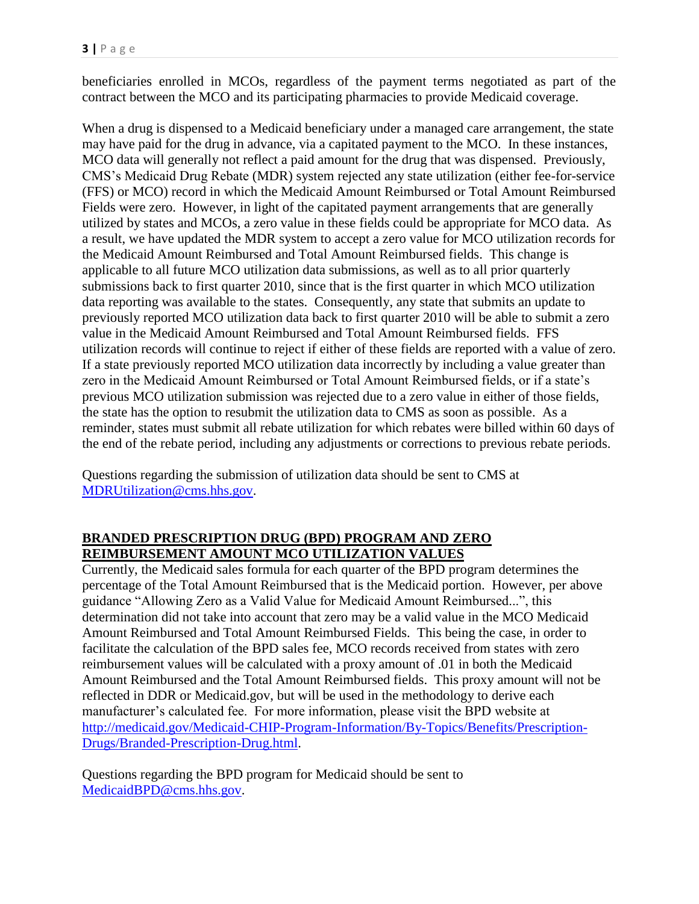beneficiaries enrolled in MCOs, regardless of the payment terms negotiated as part of the contract between the MCO and its participating pharmacies to provide Medicaid coverage.

When a drug is dispensed to a Medicaid beneficiary under a managed care arrangement, the state may have paid for the drug in advance, via a capitated payment to the MCO. In these instances, MCO data will generally not reflect a paid amount for the drug that was dispensed. Previously, CMS's Medicaid Drug Rebate (MDR) system rejected any state utilization (either fee-for-service (FFS) or MCO) record in which the Medicaid Amount Reimbursed or Total Amount Reimbursed Fields were zero. However, in light of the capitated payment arrangements that are generally utilized by states and MCOs, a zero value in these fields could be appropriate for MCO data. As a result, we have updated the MDR system to accept a zero value for MCO utilization records for the Medicaid Amount Reimbursed and Total Amount Reimbursed fields. This change is applicable to all future MCO utilization data submissions, as well as to all prior quarterly submissions back to first quarter 2010, since that is the first quarter in which MCO utilization data reporting was available to the states. Consequently, any state that submits an update to previously reported MCO utilization data back to first quarter 2010 will be able to submit a zero value in the Medicaid Amount Reimbursed and Total Amount Reimbursed fields. FFS utilization records will continue to reject if either of these fields are reported with a value of zero. If a state previously reported MCO utilization data incorrectly by including a value greater than zero in the Medicaid Amount Reimbursed or Total Amount Reimbursed fields, or if a state's previous MCO utilization submission was rejected due to a zero value in either of those fields, the state has the option to resubmit the utilization data to CMS as soon as possible. As a reminder, states must submit all rebate utilization for which rebates were billed within 60 days of the end of the rebate period, including any adjustments or corrections to previous rebate periods.

Questions regarding the submission of utilization data should be sent to CMS at [MDRUtilization@cms.hhs.gov.](mailto:MDRUtilization@cms.hhs.gov)

# **BRANDED PRESCRIPTION DRUG (BPD) PROGRAM AND ZERO REIMBURSEMENT AMOUNT MCO UTILIZATION VALUES**

Currently, the Medicaid sales formula for each quarter of the BPD program determines the percentage of the Total Amount Reimbursed that is the Medicaid portion. However, per above guidance "Allowing Zero as a Valid Value for Medicaid Amount Reimbursed...", this determination did not take into account that zero may be a valid value in the MCO Medicaid Amount Reimbursed and Total Amount Reimbursed Fields. This being the case, in order to facilitate the calculation of the BPD sales fee, MCO records received from states with zero reimbursement values will be calculated with a proxy amount of .01 in both the Medicaid Amount Reimbursed and the Total Amount Reimbursed fields. This proxy amount will not be reflected in DDR or Medicaid.gov, but will be used in the methodology to derive each manufacturer's calculated fee. For more information, please visit the BPD website at [http://medicaid.gov/Medicaid-CHIP-Program-Information/By-Topics/Benefits/Prescription-](http://medicaid.gov/Medicaid-CHIP-Program-Information/By-Topics/Benefits/Prescription-Drugs/Branded-Prescription-Drug.html)[Drugs/Branded-Prescription-Drug.html.](http://medicaid.gov/Medicaid-CHIP-Program-Information/By-Topics/Benefits/Prescription-Drugs/Branded-Prescription-Drug.html)

Questions regarding the BPD program for Medicaid should be sent to [MedicaidBPD@cms.hhs.gov.](mailto:MedicaidBPD@cms.hhs.gov)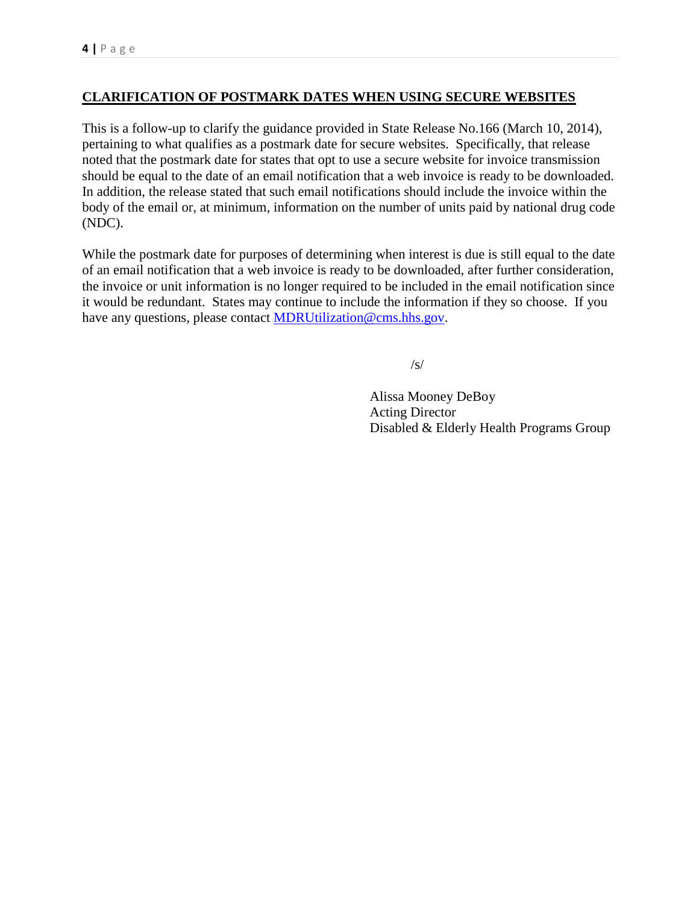# **CLARIFICATION OF POSTMARK DATES WHEN USING SECURE WEBSITES**

This is a follow-up to clarify the guidance provided in State Release No.166 (March 10, 2014), pertaining to what qualifies as a postmark date for secure websites. Specifically, that release noted that the postmark date for states that opt to use a secure website for invoice transmission should be equal to the date of an email notification that a web invoice is ready to be downloaded. In addition, the release stated that such email notifications should include the invoice within the body of the email or, at minimum, information on the number of units paid by national drug code (NDC).

While the postmark date for purposes of determining when interest is due is still equal to the date of an email notification that a web invoice is ready to be downloaded, after further consideration, the invoice or unit information is no longer required to be included in the email notification since it would be redundant. States may continue to include the information if they so choose. If you have any questions, please contact [MDRUtilization@cms.hhs.gov.](mailto:MDRUtilization@cms.hhs.gov)

/s/

Alissa Mooney DeBoy Acting Director Disabled & Elderly Health Programs Group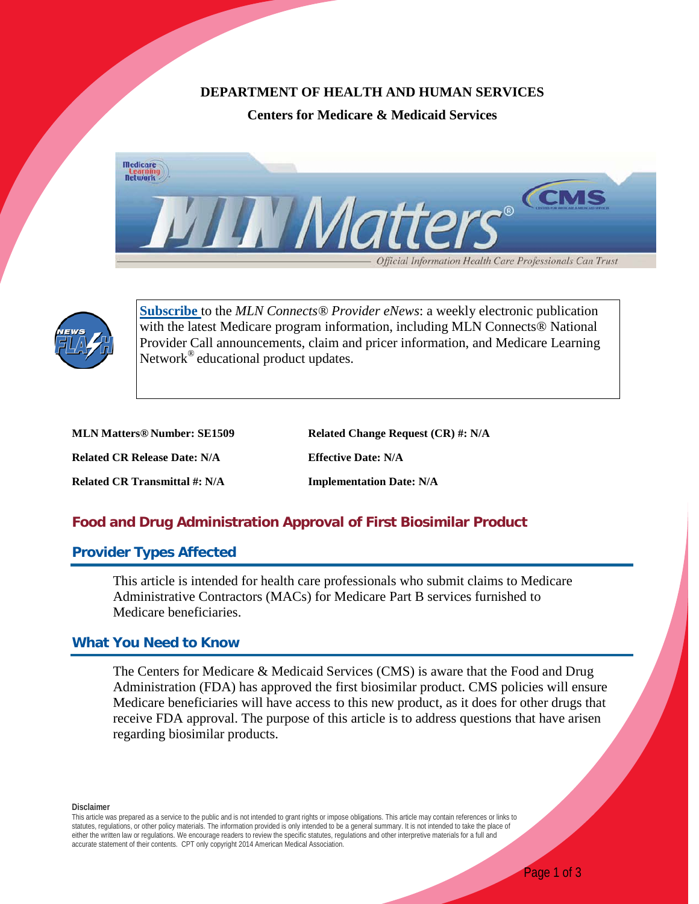## **DEPARTMENT OF HEALTH AND HUMAN SERVICES**

**Centers for Medicare & Medicaid Services**





**[Subscribe](https://public.govdelivery.com/accounts/USCMS/subscriber/new?pop=t&topic_id=USCMS_7819)** to the *MLN Connects® Provider eNews*: a weekly electronic publication with the latest Medicare program information, including MLN Connects<sup>®</sup> National Provider Call announcements, claim and pricer information, and Medicare Learning Network<sup>®</sup> educational product updates.

| <b>MLN Matters® Number: SE1509</b>  | Related Change Request (CR) #: N/A |
|-------------------------------------|------------------------------------|
| <b>Related CR Release Date: N/A</b> | <b>Effective Date: N/A</b>         |
| Related CR Transmittal #: N/A       | <b>Implementation Date: N/A</b>    |

# **Food and Drug Administration Approval of First Biosimilar Product**

## **Provider Types Affected**

This article is intended for health care professionals who submit claims to Medicare Administrative Contractors (MACs) for Medicare Part B services furnished to Medicare beneficiaries.

# **What You Need to Know**

The Centers for Medicare & Medicaid Services (CMS) is aware that the Food and Drug Administration (FDA) has approved the first biosimilar product. CMS policies will ensure Medicare beneficiaries will have access to this new product, as it does for other drugs that receive FDA approval. The purpose of this article is to address questions that have arisen regarding biosimilar products.

**Disclaimer**

This article was prepared as a service to the public and is not intended to grant rights or impose obligations. This article may contain references or links to statutes, regulations, or other policy materials. The information provided is only intended to be a general summary. It is not intended to take the place of either the written law or regulations. We encourage readers to review the specific statutes, regulations and other interpretive materials for a full and accurate statement of their contents. CPT only copyright 2014 American Medical Association.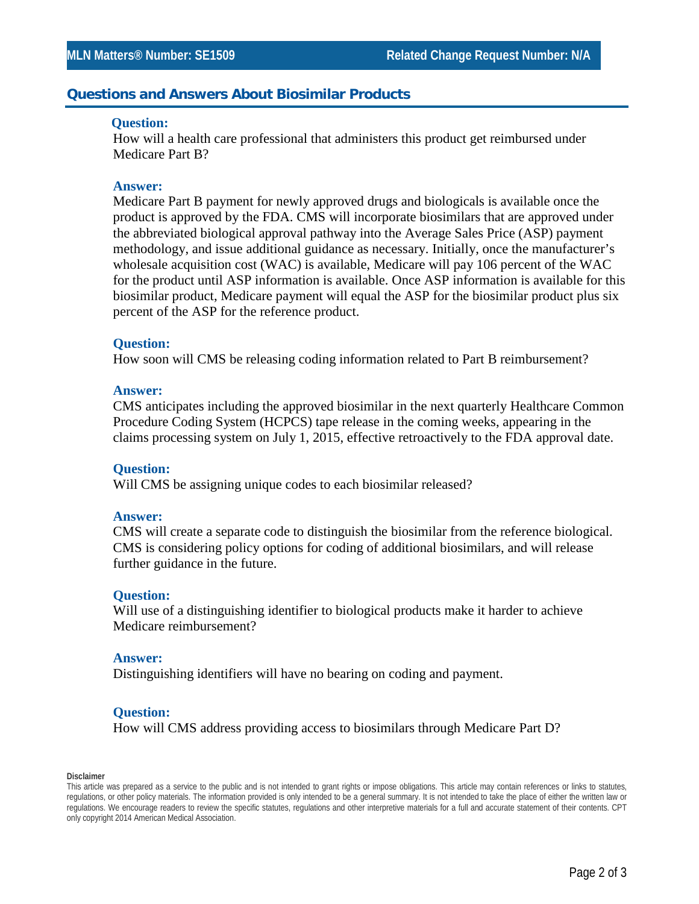## **Questions and Answers About Biosimilar Products**

#### **Question:**

How will a health care professional that administers this product get reimbursed under Medicare Part B?

#### **Answer:**

Medicare Part B payment for newly approved drugs and biologicals is available once the product is approved by the FDA. CMS will incorporate biosimilars that are approved under the abbreviated biological approval pathway into the Average Sales Price (ASP) payment methodology, and issue additional guidance as necessary. Initially, once the manufacturer's wholesale acquisition cost (WAC) is available, Medicare will pay 106 percent of the WAC for the product until ASP information is available. Once ASP information is available for this biosimilar product, Medicare payment will equal the ASP for the biosimilar product plus six percent of the ASP for the reference product.

#### **Question:**

How soon will CMS be releasing coding information related to Part B reimbursement?

#### **Answer:**

CMS anticipates including the approved biosimilar in the next quarterly Healthcare Common Procedure Coding System (HCPCS) tape release in the coming weeks, appearing in the claims processing system on July 1, 2015, effective retroactively to the FDA approval date.

#### **Question:**

Will CMS be assigning unique codes to each biosimilar released?

#### **Answer:**

CMS will create a separate code to distinguish the biosimilar from the reference biological. CMS is considering policy options for coding of additional biosimilars, and will release further guidance in the future.

#### **Question:**

Will use of a distinguishing identifier to biological products make it harder to achieve Medicare reimbursement?

#### **Answer:**

Distinguishing identifiers will have no bearing on coding and payment.

#### **Question:**

How will CMS address providing access to biosimilars through Medicare Part D?

#### **Disclaimer**

This article was prepared as a service to the public and is not intended to grant rights or impose obligations. This article may contain references or links to statutes, regulations, or other policy materials. The information provided is only intended to be a general summary. It is not intended to take the place of either the written law or regulations. We encourage readers to review the specific statutes, regulations and other interpretive materials for a full and accurate statement of their contents. CPT only copyright 2014 American Medical Association.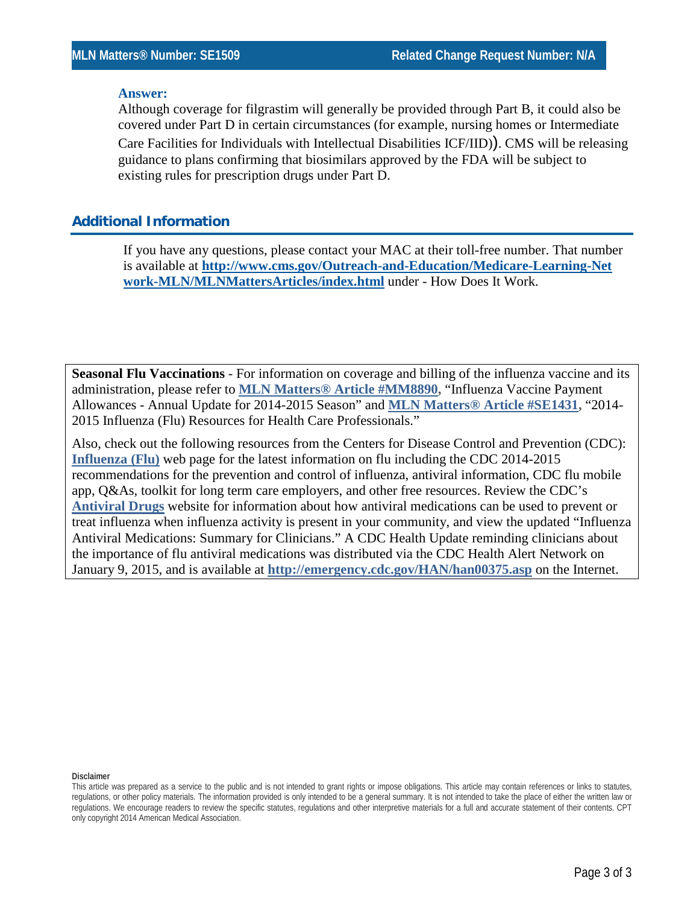#### **Answer:**

Although coverage for filgrastim will generally be provided through Part B, it could also be covered under Part D in certain circumstances (for example, nursing homes or Intermediate Care Facilities for Individuals with Intellectual Disabilities ICF/IID)). CMS will be releasing guidance to plans confirming that biosimilars approved by the FDA will be subject to existing rules for prescription drugs under Part D.

## **Additional Information**

If you have any questions, please contact your MAC at their toll-free number. That number is available at **[http://www.cms.gov/Outreach-and-Education/Medicare-Learning-Net](http://www.cms.gov/Outreach-and-Education/Medicare-Learning-Network-MLN/MLNMattersArticles/index.html) [work-MLN/MLNMattersArticles/index.html](http://www.cms.gov/Outreach-and-Education/Medicare-Learning-Network-MLN/MLNMattersArticles/index.html)** under - How Does It Work.

**Seasonal Flu Vaccinations** - For information on coverage and billing of the influenza vaccine and its administration, please refer to **[MLN Matters® Article #MM8890,](http://www.cms.gov/Outreach-and-Education/Medicare-Learning-Network-MLN/MLNMattersArticles/Downloads/MM8890.pdf)** "Influenza Vaccine Payment Allowances - Annual Update for 2014-2015 Season" and **[MLN Matters® Article #SE1431,](http://www.cms.gov/Outreach-and-Education/Medicare-Learning-Network-MLN/MLNMattersArticles/Downloads/SE1431.pdf)** "2014- 2015 Influenza (Flu) Resources for Health Care Professionals."

Also, check out the following resources from the Centers for Disease Control and Prevention (CDC): **[Influenza \(Flu\)](http://www.cdc.gov/FLU/)** web page for the latest information on flu including the CDC 2014-2015 recommendations for the prevention and control of influenza, antiviral information, CDC flu mobile app, Q&As, toolkit for long term care employers, and other free resources. Review the CDC's **[Antiviral Drugs](http://www.cdc.gov/flu/professionals/antivirals/index.htm)** website for information about how antiviral medications can be used to prevent or treat influenza when influenza activity is present in your community, and view the updated "Influenza Antiviral Medications: Summary for Clinicians." A CDC Health Update reminding clinicians about the importance of flu antiviral medications was distributed via the CDC Health Alert Network on January 9, 2015, and is available at **<http://emergency.cdc.gov/HAN/han00375.asp>** on the Internet.

**Disclaimer**

This article was prepared as a service to the public and is not intended to grant rights or impose obligations. This article may contain references or links to statutes, regulations, or other policy materials. The information provided is only intended to be a general summary. It is not intended to take the place of either the written law or regulations. We encourage readers to review the specific statutes, regulations and other interpretive materials for a full and accurate statement of their contents. CPT only copyright 2014 American Medical Association.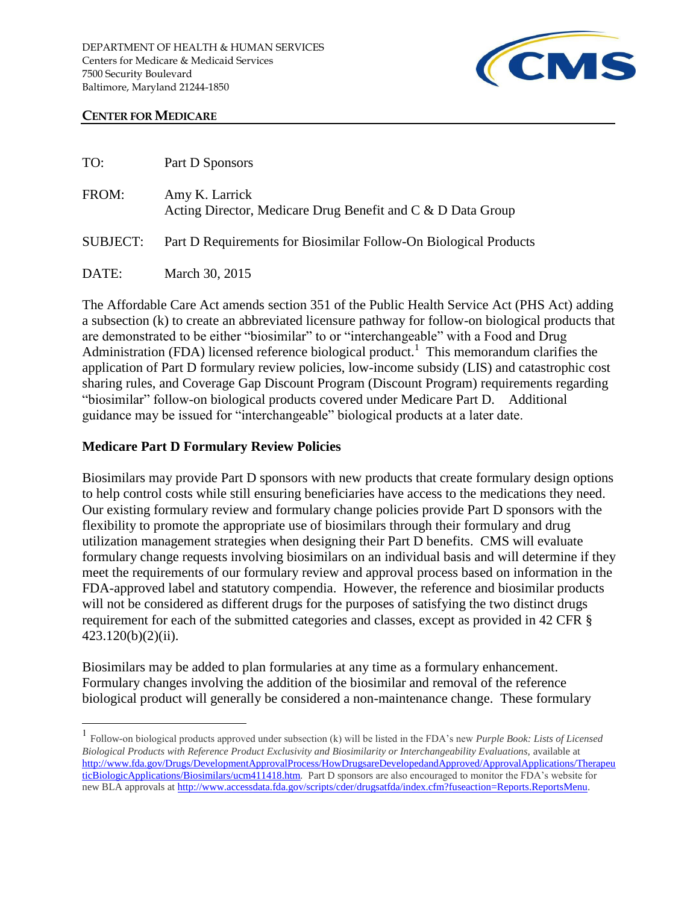

## **CENTER FOR MEDICARE**

| TO:             | Part D Sponsors                                                               |
|-----------------|-------------------------------------------------------------------------------|
| FROM:           | Amy K. Larrick<br>Acting Director, Medicare Drug Benefit and C & D Data Group |
| <b>SUBJECT:</b> | Part D Requirements for Biosimilar Follow-On Biological Products              |
| DATE:           | March 30, 2015                                                                |

The Affordable Care Act amends section 351 of the Public Health Service Act (PHS Act) adding a subsection (k) to create an abbreviated licensure pathway for follow-on biological products that are demonstrated to be either "biosimilar" to or "interchangeable" with a Food and Drug Administration (FDA) licensed reference biological product.<sup>1</sup> This memorandum clarifies the application of Part D formulary review policies, low-income subsidy (LIS) and catastrophic cost sharing rules, and Coverage Gap Discount Program (Discount Program) requirements regarding "biosimilar" follow-on biological products covered under Medicare Part D. Additional guidance may be issued for "interchangeable" biological products at a later date.

## **Medicare Part D Formulary Review Policies**

 $\overline{a}$ 

Biosimilars may provide Part D sponsors with new products that create formulary design options to help control costs while still ensuring beneficiaries have access to the medications they need. Our existing formulary review and formulary change policies provide Part D sponsors with the flexibility to promote the appropriate use of biosimilars through their formulary and drug utilization management strategies when designing their Part D benefits. CMS will evaluate formulary change requests involving biosimilars on an individual basis and will determine if they meet the requirements of our formulary review and approval process based on information in the FDA-approved label and statutory compendia. However, the reference and biosimilar products will not be considered as different drugs for the purposes of satisfying the two distinct drugs requirement for each of the submitted categories and classes, except as provided in 42 CFR § 423.120(b)(2)(ii).

Biosimilars may be added to plan formularies at any time as a formulary enhancement. Formulary changes involving the addition of the biosimilar and removal of the reference biological product will generally be considered a non-maintenance change. These formulary

<sup>1</sup> Follow-on biological products approved under subsection (k) will be listed in the FDA's new *Purple Book: Lists of Licensed Biological Products with Reference Product Exclusivity and Biosimilarity or Interchangeability Evaluations,* available at [http://www.fda.gov/Drugs/DevelopmentApprovalProcess/HowDrugsareDevelopedandApproved/ApprovalApplications/Therapeu](http://www.fda.gov/Drugs/DevelopmentApprovalProcess/HowDrugsareDevelopedandApproved/ApprovalApplications/TherapeuticBiologicApplications/Biosimilars/ucm411418.htm) [ticBiologicApplications/Biosimilars/ucm411418.htm](http://www.fda.gov/Drugs/DevelopmentApprovalProcess/HowDrugsareDevelopedandApproved/ApprovalApplications/TherapeuticBiologicApplications/Biosimilars/ucm411418.htm)*.* Part D sponsors are also encouraged to monitor the FDA's website for new BLA approvals a[t http://www.accessdata.fda.gov/scripts/cder/drugsatfda/index.cfm?fuseaction=Reports.ReportsMenu.](http://www.accessdata.fda.gov/scripts/cder/drugsatfda/index.cfm?fuseaction=Reports.ReportsMenu)